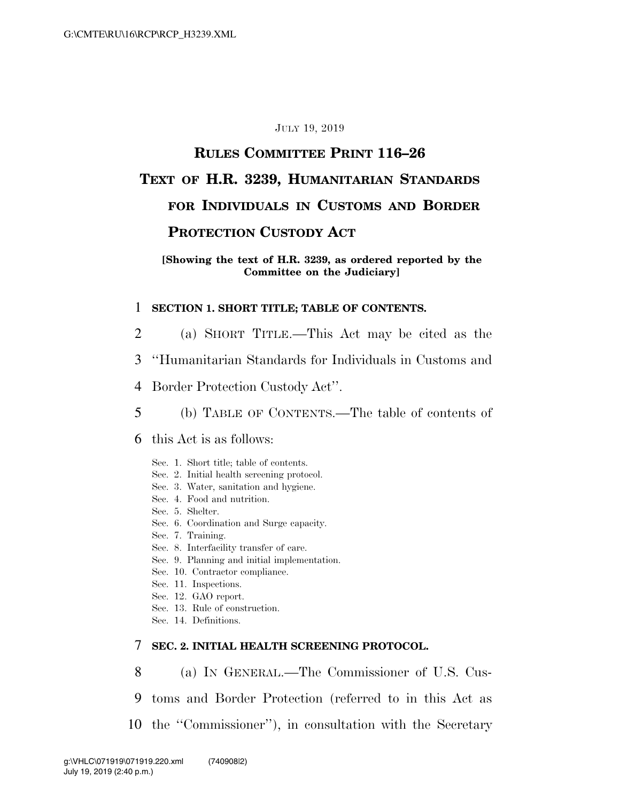#### JULY 19, 2019

# **RULES COMMITTEE PRINT 116–26 TEXT OF H.R. 3239, HUMANITARIAN STANDARDS FOR INDIVIDUALS IN CUSTOMS AND BORDER PROTECTION CUSTODY ACT**

#### **[Showing the text of H.R. 3239, as ordered reported by the Committee on the Judiciary]**

#### 1 **SECTION 1. SHORT TITLE; TABLE OF CONTENTS.**

- 2 (a) SHORT TITLE.—This Act may be cited as the
- 3 ''Humanitarian Standards for Individuals in Customs and
- 4 Border Protection Custody Act''.
- 5 (b) TABLE OF CONTENTS.—The table of contents of
- 6 this Act is as follows:
	- Sec. 1. Short title; table of contents.
	- Sec. 2. Initial health screening protocol.
	- Sec. 3. Water, sanitation and hygiene.
	- Sec. 4. Food and nutrition.
	- Sec. 5. Shelter.
	- Sec. 6. Coordination and Surge capacity.
	- Sec. 7. Training.
	- Sec. 8. Interfacility transfer of care.
	- Sec. 9. Planning and initial implementation.
	- Sec. 10. Contractor compliance.
	- Sec. 11. Inspections.
	- Sec. 12. GAO report.
	- Sec. 13. Rule of construction.
	- Sec. 14. Definitions.

## 7 **SEC. 2. INITIAL HEALTH SCREENING PROTOCOL.**

- 8 (a) IN GENERAL.—The Commissioner of U.S. Cus-
- 9 toms and Border Protection (referred to in this Act as
- 10 the ''Commissioner''), in consultation with the Secretary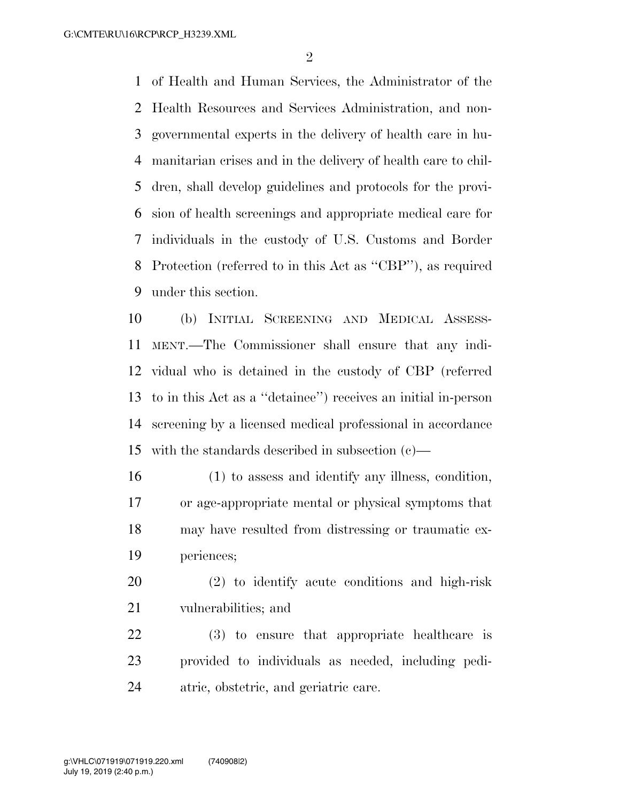of Health and Human Services, the Administrator of the Health Resources and Services Administration, and non- governmental experts in the delivery of health care in hu- manitarian crises and in the delivery of health care to chil- dren, shall develop guidelines and protocols for the provi- sion of health screenings and appropriate medical care for individuals in the custody of U.S. Customs and Border Protection (referred to in this Act as ''CBP''), as required under this section.

 (b) INITIAL SCREENING AND MEDICAL ASSESS- MENT.—The Commissioner shall ensure that any indi- vidual who is detained in the custody of CBP (referred to in this Act as a ''detainee'') receives an initial in-person screening by a licensed medical professional in accordance with the standards described in subsection (c)—

 (1) to assess and identify any illness, condition, or age-appropriate mental or physical symptoms that may have resulted from distressing or traumatic ex-periences;

 (2) to identify acute conditions and high-risk vulnerabilities; and

 (3) to ensure that appropriate healthcare is provided to individuals as needed, including pedi-atric, obstetric, and geriatric care.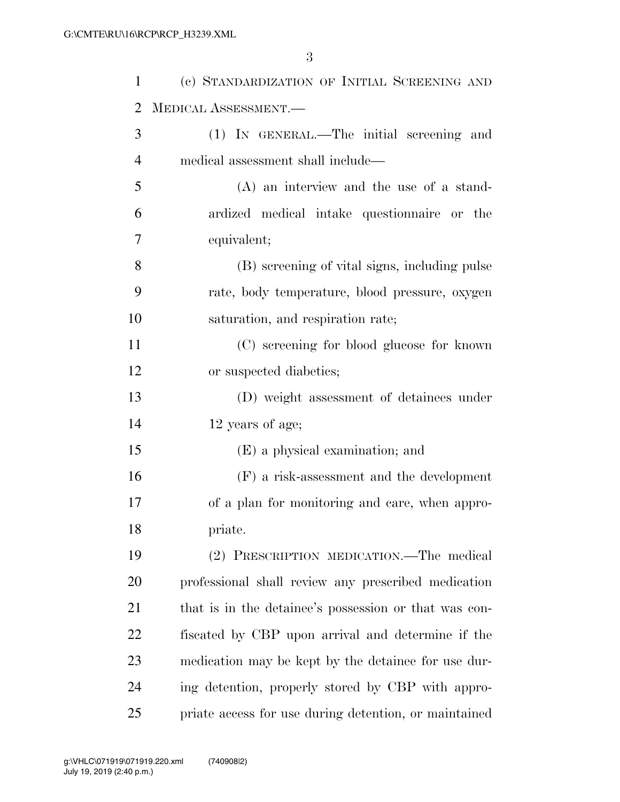| $\mathbf{1}$ | (c) STANDARDIZATION OF INITIAL SCREENING AND          |
|--------------|-------------------------------------------------------|
| 2            | MEDICAL ASSESSMENT.-                                  |
| 3            | (1) IN GENERAL.—The initial screening and             |
| 4            | medical assessment shall include—                     |
| 5            | $(A)$ an interview and the use of a stand-            |
| 6            | ardized medical intake questionnaire or the           |
| 7            | equivalent;                                           |
| 8            | (B) screening of vital signs, including pulse         |
| 9            | rate, body temperature, blood pressure, oxygen        |
| 10           | saturation, and respiration rate;                     |
| 11           | (C) screening for blood glucose for known             |
| 12           | or suspected diabetics;                               |
| 13           | (D) weight assessment of detainees under              |
| 14           | 12 years of age;                                      |
| 15           | (E) a physical examination; and                       |
| 16           | $(F)$ a risk-assessment and the development           |
| 17           | of a plan for monitoring and care, when appro-        |
| 18           | priate.                                               |
| 19           | (2) PRESCRIPTION MEDICATION.—The medical              |
| 20           | professional shall review any prescribed medication   |
| 21           | that is in the detainee's possession or that was con- |
| 22           | fiscated by CBP upon arrival and determine if the     |
| 23           | medication may be kept by the detainee for use dur-   |
| 24           | ing detention, properly stored by CBP with appro-     |
| 25           | priate access for use during detention, or maintained |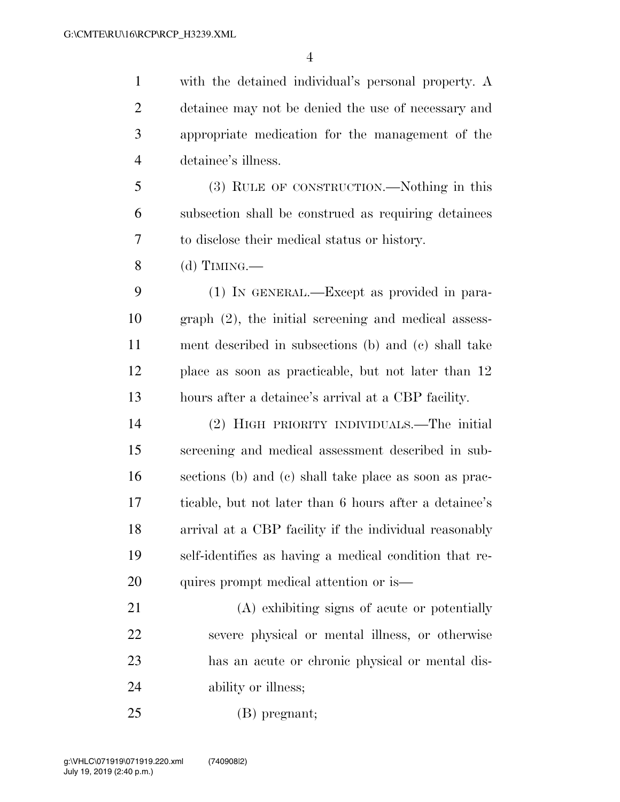with the detained individual's personal property. A detainee may not be denied the use of necessary and appropriate medication for the management of the detainee's illness.

 (3) RULE OF CONSTRUCTION.—Nothing in this subsection shall be construed as requiring detainees to disclose their medical status or history.

(d) TIMING.—

 (1) IN GENERAL.—Except as provided in para- graph (2), the initial screening and medical assess- ment described in subsections (b) and (c) shall take place as soon as practicable, but not later than 12 hours after a detainee's arrival at a CBP facility.

 (2) HIGH PRIORITY INDIVIDUALS.—The initial screening and medical assessment described in sub- sections (b) and (c) shall take place as soon as prac- ticable, but not later than 6 hours after a detainee's arrival at a CBP facility if the individual reasonably self-identifies as having a medical condition that re-20 quires prompt medical attention or is—

 (A) exhibiting signs of acute or potentially severe physical or mental illness, or otherwise has an acute or chronic physical or mental dis-24 ability or illness;

(B) pregnant;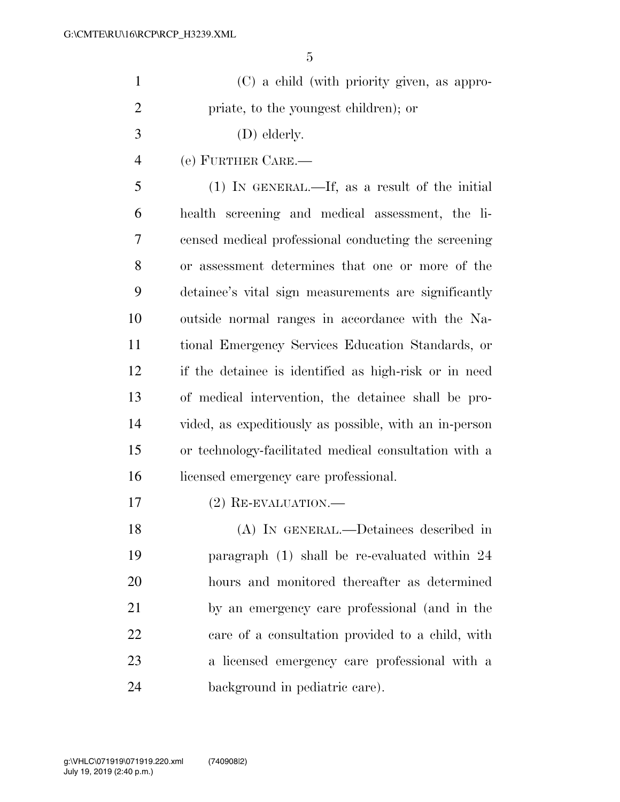| $\mathbf{1}$   | (C) a child (with priority given, as appro-            |
|----------------|--------------------------------------------------------|
| $\overline{2}$ | priate, to the youngest children); or                  |
| 3              | (D) elderly.                                           |
| $\overline{4}$ | (e) FURTHER CARE.-                                     |
| 5              | $(1)$ IN GENERAL.—If, as a result of the initial       |
| 6              | health screening and medical assessment, the li-       |
| 7              | censed medical professional conducting the screening   |
| 8              | or assessment determines that one or more of the       |
| 9              | detainee's vital sign measurements are significantly   |
| 10             | outside normal ranges in accordance with the Na-       |
| 11             | tional Emergency Services Education Standards, or      |
| 12             | if the detainee is identified as high-risk or in need  |
| 13             | of medical intervention, the detainee shall be pro-    |
| 14             | vided, as expeditiously as possible, with an in-person |
| 15             | or technology-facilitated medical consultation with a  |
| 16             | licensed emergency care professional.                  |
| 17             | $(2)$ RE-EVALUATION.—                                  |
| 18             | (A) IN GENERAL.—Detainees described in                 |
| 19             | paragraph (1) shall be re-evaluated within 24          |
| 20             | hours and monitored thereafter as determined           |
| 21             | by an emergency care professional (and in the          |
| 22             | care of a consultation provided to a child, with       |
| 23             | a licensed emergency care professional with a          |
| 24             | background in pediatric care).                         |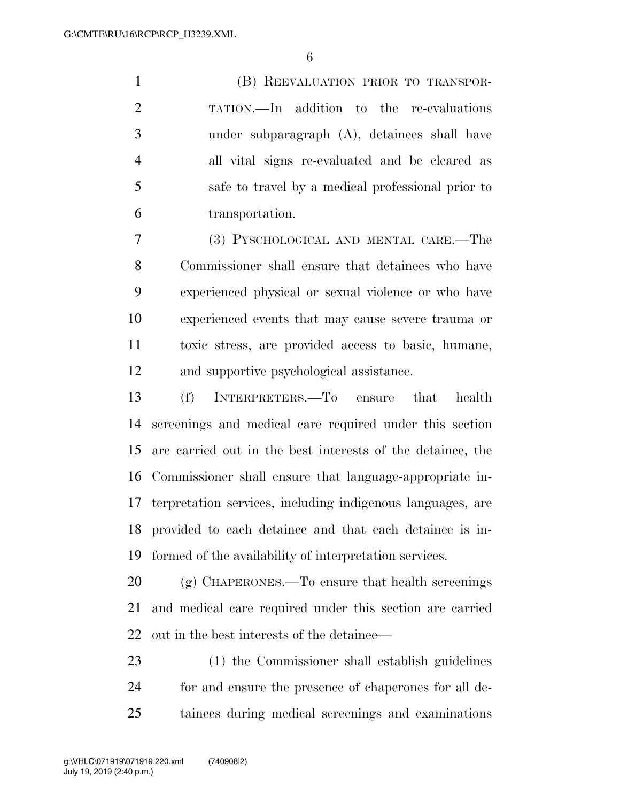(B) REEVALUATION PRIOR TO TRANSPOR- TATION.—In addition to the re-evaluations under subparagraph (A), detainees shall have all vital signs re-evaluated and be cleared as safe to travel by a medical professional prior to transportation.

 (3) PYSCHOLOGICAL AND MENTAL CARE.—The Commissioner shall ensure that detainees who have experienced physical or sexual violence or who have experienced events that may cause severe trauma or toxic stress, are provided access to basic, humane, and supportive psychological assistance.

 (f) INTERPRETERS.—To ensure that health screenings and medical care required under this section are carried out in the best interests of the detainee, the Commissioner shall ensure that language-appropriate in- terpretation services, including indigenous languages, are provided to each detainee and that each detainee is in-formed of the availability of interpretation services.

 (g) CHAPERONES.—To ensure that health screenings and medical care required under this section are carried out in the best interests of the detainee—

 (1) the Commissioner shall establish guidelines for and ensure the presence of chaperones for all de-tainees during medical screenings and examinations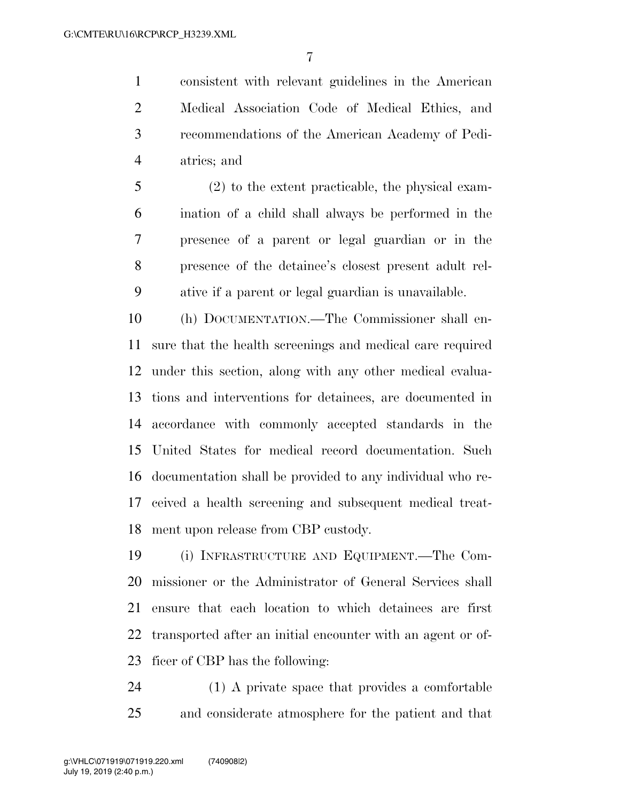consistent with relevant guidelines in the American Medical Association Code of Medical Ethics, and recommendations of the American Academy of Pedi-atrics; and

 (2) to the extent practicable, the physical exam- ination of a child shall always be performed in the presence of a parent or legal guardian or in the presence of the detainee's closest present adult rel-ative if a parent or legal guardian is unavailable.

 (h) DOCUMENTATION.—The Commissioner shall en- sure that the health screenings and medical care required under this section, along with any other medical evalua- tions and interventions for detainees, are documented in accordance with commonly accepted standards in the United States for medical record documentation. Such documentation shall be provided to any individual who re- ceived a health screening and subsequent medical treat-ment upon release from CBP custody.

 (i) INFRASTRUCTURE AND EQUIPMENT.—The Com- missioner or the Administrator of General Services shall ensure that each location to which detainees are first transported after an initial encounter with an agent or of-ficer of CBP has the following:

 (1) A private space that provides a comfortable and considerate atmosphere for the patient and that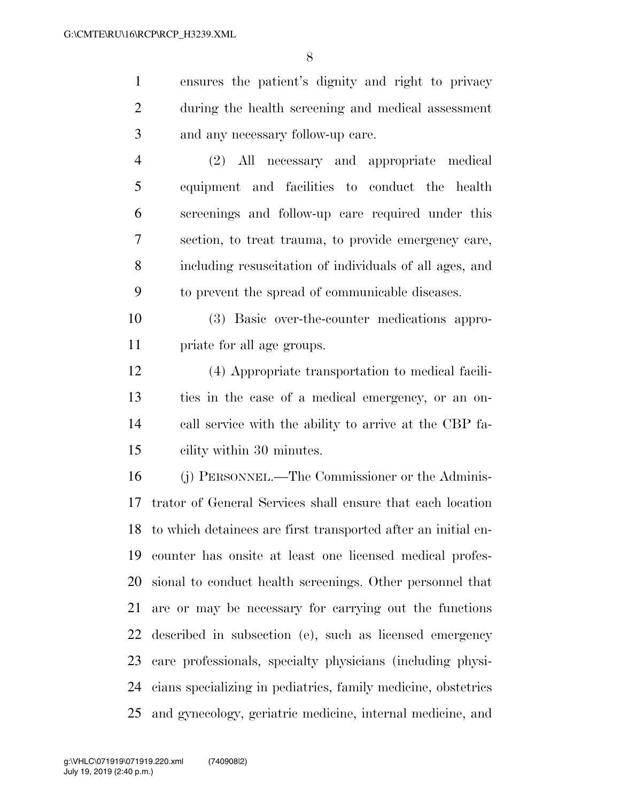ensures the patient's dignity and right to privacy during the health screening and medical assessment and any necessary follow-up care.

 (2) All necessary and appropriate medical equipment and facilities to conduct the health screenings and follow-up care required under this section, to treat trauma, to provide emergency care, including resuscitation of individuals of all ages, and to prevent the spread of communicable diseases.

 (3) Basic over-the-counter medications appro-priate for all age groups.

 (4) Appropriate transportation to medical facili- ties in the case of a medical emergency, or an on- call service with the ability to arrive at the CBP fa-cility within 30 minutes.

 (j) PERSONNEL.—The Commissioner or the Adminis- trator of General Services shall ensure that each location to which detainees are first transported after an initial en- counter has onsite at least one licensed medical profes- sional to conduct health screenings. Other personnel that are or may be necessary for carrying out the functions described in subsection (e), such as licensed emergency care professionals, specialty physicians (including physi- cians specializing in pediatrics, family medicine, obstetrics and gynecology, geriatric medicine, internal medicine, and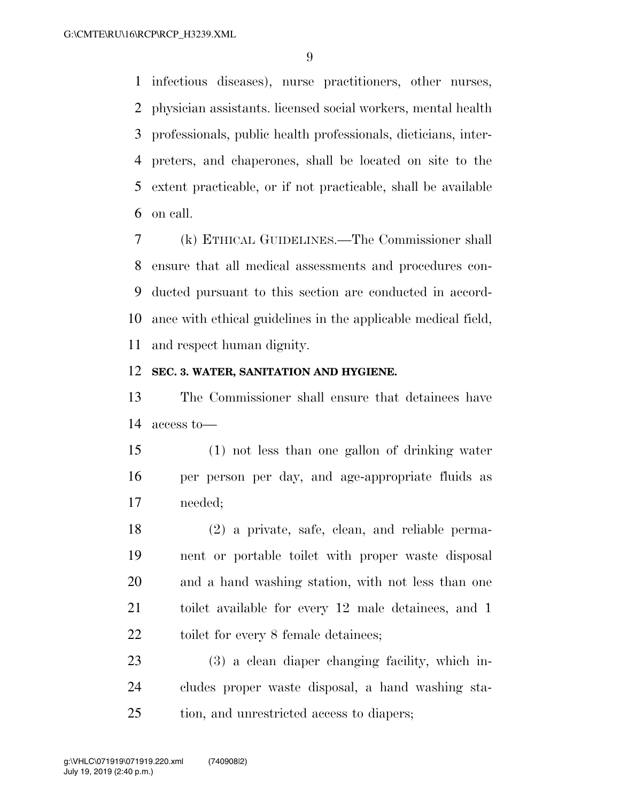infectious diseases), nurse practitioners, other nurses, physician assistants. licensed social workers, mental health professionals, public health professionals, dieticians, inter- preters, and chaperones, shall be located on site to the extent practicable, or if not practicable, shall be available on call.

 (k) ETHICAL GUIDELINES.—The Commissioner shall ensure that all medical assessments and procedures con- ducted pursuant to this section are conducted in accord- ance with ethical guidelines in the applicable medical field, and respect human dignity.

#### **SEC. 3. WATER, SANITATION AND HYGIENE.**

 The Commissioner shall ensure that detainees have access to—

 (1) not less than one gallon of drinking water per person per day, and age-appropriate fluids as needed;

 (2) a private, safe, clean, and reliable perma- nent or portable toilet with proper waste disposal and a hand washing station, with not less than one toilet available for every 12 male detainees, and 1 22 toilet for every 8 female detainees;

 (3) a clean diaper changing facility, which in- cludes proper waste disposal, a hand washing sta-tion, and unrestricted access to diapers;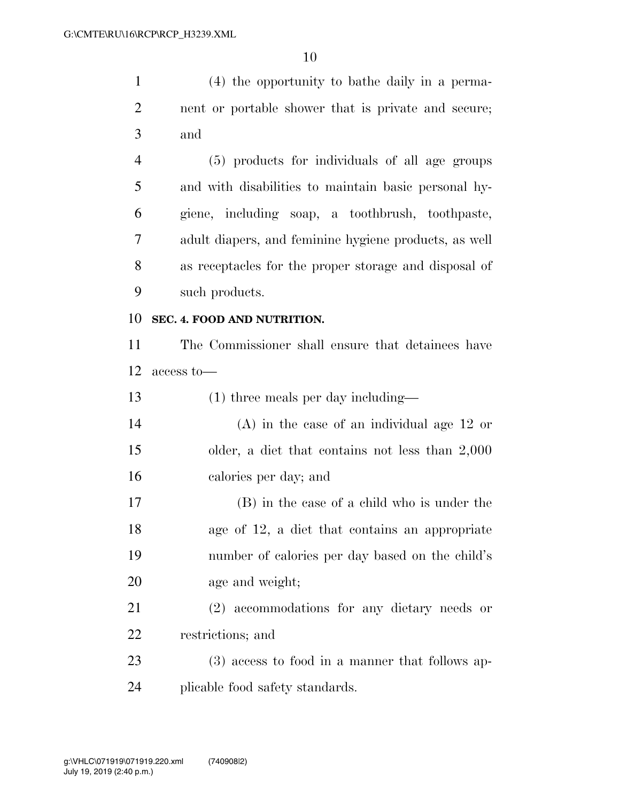(4) the opportunity to bathe daily in a perma- nent or portable shower that is private and secure; and (5) products for individuals of all age groups and with disabilities to maintain basic personal hy- giene, including soap, a toothbrush, toothpaste, adult diapers, and feminine hygiene products, as well as receptacles for the proper storage and disposal of

such products.

## **SEC. 4. FOOD AND NUTRITION.**

 The Commissioner shall ensure that detainees have access to—

(1) three meals per day including—

 (A) in the case of an individual age 12 or older, a diet that contains not less than 2,000 calories per day; and

 (B) in the case of a child who is under the age of 12, a diet that contains an appropriate number of calories per day based on the child's age and weight;

 (2) accommodations for any dietary needs or restrictions; and

 (3) access to food in a manner that follows ap-plicable food safety standards.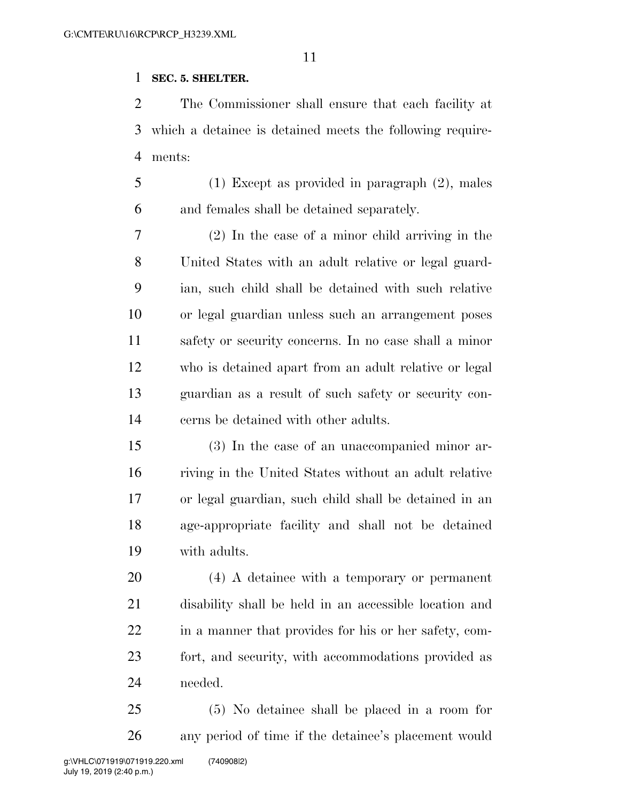## **SEC. 5. SHELTER.**

 The Commissioner shall ensure that each facility at which a detainee is detained meets the following require-ments:

 (1) Except as provided in paragraph (2), males and females shall be detained separately.

 (2) In the case of a minor child arriving in the United States with an adult relative or legal guard- ian, such child shall be detained with such relative or legal guardian unless such an arrangement poses safety or security concerns. In no case shall a minor who is detained apart from an adult relative or legal guardian as a result of such safety or security con-cerns be detained with other adults.

 (3) In the case of an unaccompanied minor ar- riving in the United States without an adult relative or legal guardian, such child shall be detained in an age-appropriate facility and shall not be detained with adults.

 (4) A detainee with a temporary or permanent disability shall be held in an accessible location and in a manner that provides for his or her safety, com- fort, and security, with accommodations provided as needed.

 (5) No detainee shall be placed in a room for any period of time if the detainee's placement would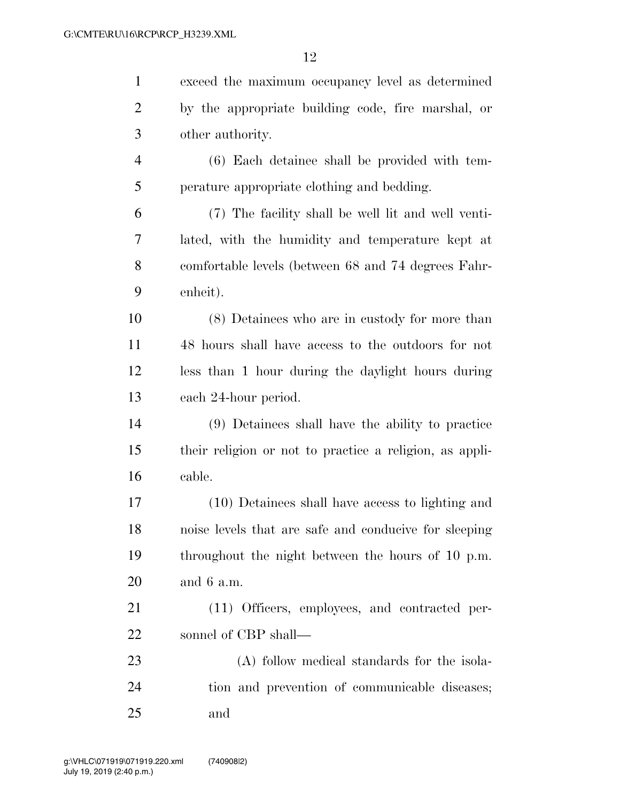| $\mathbf{1}$   | exceed the maximum occupancy level as determined        |
|----------------|---------------------------------------------------------|
| $\overline{2}$ | by the appropriate building code, fire marshal, or      |
| 3              | other authority.                                        |
| $\overline{4}$ | (6) Each detainee shall be provided with tem-           |
| 5              | perature appropriate clothing and bedding.              |
| 6              | (7) The facility shall be well lit and well venti-      |
| 7              | lated, with the humidity and temperature kept at        |
| 8              | comfortable levels (between 68 and 74 degrees Fahr-     |
| 9              | enheit).                                                |
| 10             | (8) Detainees who are in custody for more than          |
| 11             | 48 hours shall have access to the outdoors for not      |
| 12             | less than 1 hour during the daylight hours during       |
| 13             | each 24-hour period.                                    |
| 14             | (9) Detainees shall have the ability to practice        |
| 15             | their religion or not to practice a religion, as appli- |
| 16             | cable.                                                  |
| 17             | (10) Detainees shall have access to lighting and        |
| 18             | noise levels that are safe and conducive for sleeping   |
| 19             | throughout the night between the hours of 10 p.m.       |
| 20             | and $6 a.m.$                                            |
| 21             | (11) Officers, employees, and contracted per-           |
| 22             | sonnel of CBP shall—                                    |
| 23             | (A) follow medical standards for the isola-             |
| 24             | tion and prevention of communicable diseases;           |
| 25             | and                                                     |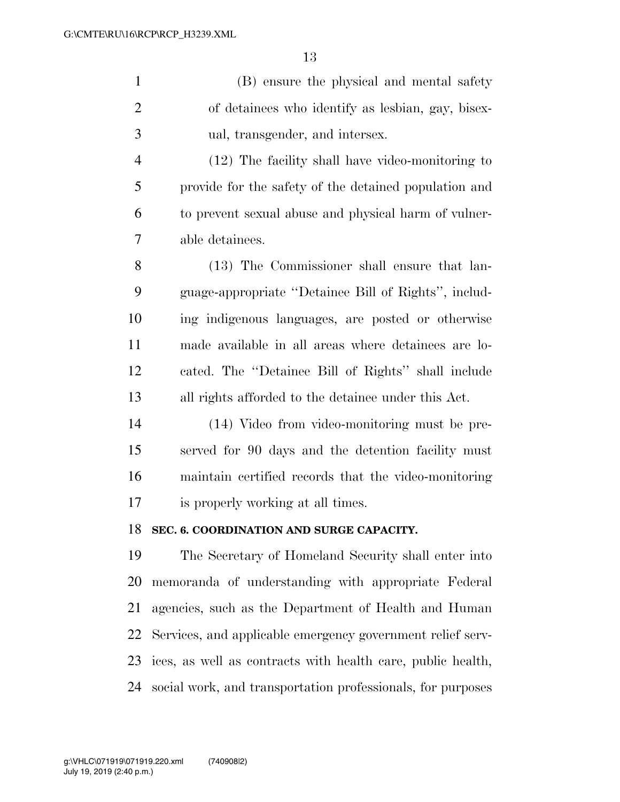|   | (B) ensure the physical and mental safety          |
|---|----------------------------------------------------|
| 2 | of detainees who identify as lesbian, gay, bisex-  |
| 3 | ual, transgender, and intersex.                    |
|   | $(12)$ The facility shall have video-monitoring to |
|   |                                                    |

 provide for the safety of the detained population and to prevent sexual abuse and physical harm of vulner-able detainees.

 (13) The Commissioner shall ensure that lan- guage-appropriate ''Detainee Bill of Rights'', includ- ing indigenous languages, are posted or otherwise made available in all areas where detainees are lo- cated. The ''Detainee Bill of Rights'' shall include all rights afforded to the detainee under this Act.

 (14) Video from video-monitoring must be pre- served for 90 days and the detention facility must maintain certified records that the video-monitoring is properly working at all times.

## **SEC. 6. COORDINATION AND SURGE CAPACITY.**

 The Secretary of Homeland Security shall enter into memoranda of understanding with appropriate Federal agencies, such as the Department of Health and Human Services, and applicable emergency government relief serv- ices, as well as contracts with health care, public health, social work, and transportation professionals, for purposes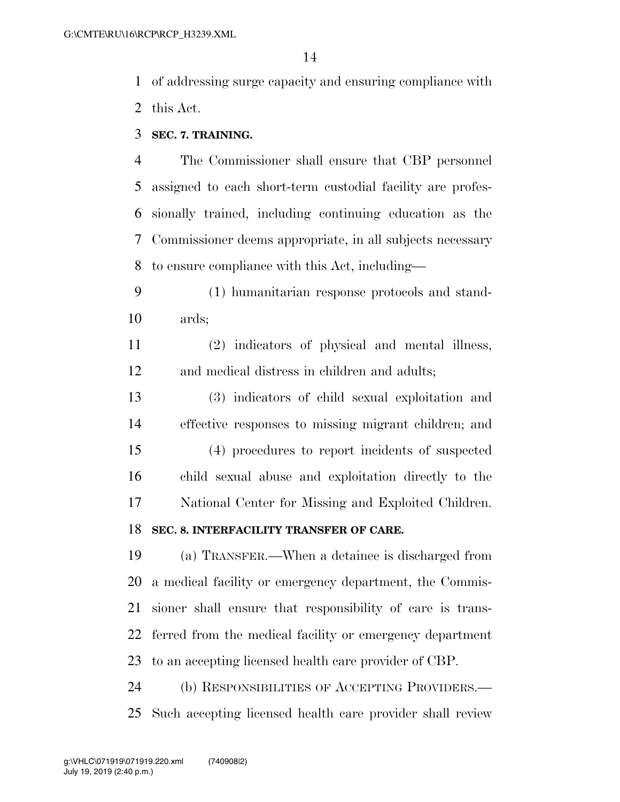- of addressing surge capacity and ensuring compliance with this Act.
- **SEC. 7. TRAINING.**

 The Commissioner shall ensure that CBP personnel assigned to each short-term custodial facility are profes- sionally trained, including continuing education as the Commissioner deems appropriate, in all subjects necessary to ensure compliance with this Act, including—

 (1) humanitarian response protocols and stand-ards;

 (2) indicators of physical and mental illness, and medical distress in children and adults;

 (3) indicators of child sexual exploitation and effective responses to missing migrant children; and

 (4) procedures to report incidents of suspected child sexual abuse and exploitation directly to the National Center for Missing and Exploited Children.

## **SEC. 8. INTERFACILITY TRANSFER OF CARE.**

 (a) TRANSFER.—When a detainee is discharged from a medical facility or emergency department, the Commis- sioner shall ensure that responsibility of care is trans- ferred from the medical facility or emergency department to an accepting licensed health care provider of CBP.

 (b) RESPONSIBILITIES OF ACCEPTING PROVIDERS.— Such accepting licensed health care provider shall review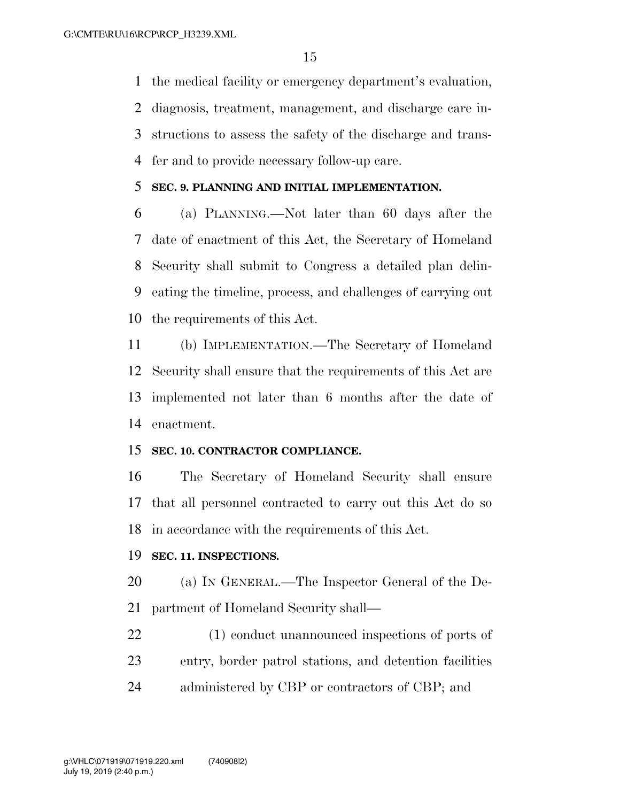the medical facility or emergency department's evaluation,

 diagnosis, treatment, management, and discharge care in- structions to assess the safety of the discharge and trans-fer and to provide necessary follow-up care.

#### **SEC. 9. PLANNING AND INITIAL IMPLEMENTATION.**

 (a) PLANNING.—Not later than 60 days after the date of enactment of this Act, the Secretary of Homeland Security shall submit to Congress a detailed plan delin- eating the timeline, process, and challenges of carrying out the requirements of this Act.

 (b) IMPLEMENTATION.—The Secretary of Homeland Security shall ensure that the requirements of this Act are implemented not later than 6 months after the date of enactment.

## **SEC. 10. CONTRACTOR COMPLIANCE.**

 The Secretary of Homeland Security shall ensure that all personnel contracted to carry out this Act do so in accordance with the requirements of this Act.

#### **SEC. 11. INSPECTIONS.**

 (a) IN GENERAL.—The Inspector General of the De-partment of Homeland Security shall—

 (1) conduct unannounced inspections of ports of entry, border patrol stations, and detention facilities 24 administered by CBP or contractors of CBP; and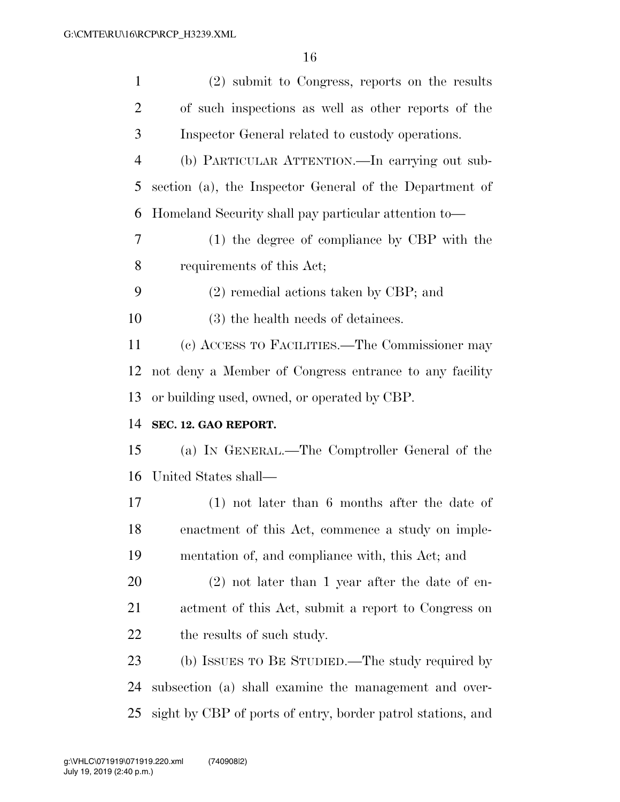| $\mathbf{1}$   | (2) submit to Congress, reports on the results              |
|----------------|-------------------------------------------------------------|
| $\overline{2}$ | of such inspections as well as other reports of the         |
| 3              | Inspector General related to custody operations.            |
| $\overline{4}$ | (b) PARTICULAR ATTENTION.—In carrying out sub-              |
| 5              | section (a), the Inspector General of the Department of     |
| 6              | Homeland Security shall pay particular attention to-        |
| $\overline{7}$ | (1) the degree of compliance by CBP with the                |
| 8              | requirements of this Act;                                   |
| 9              | $(2)$ remedial actions taken by CBP; and                    |
| 10             | (3) the health needs of detainees.                          |
| 11             | (c) ACCESS TO FACILITIES.—The Commissioner may              |
| 12             | not deny a Member of Congress entrance to any facility      |
| 13             | or building used, owned, or operated by CBP.                |
| 14             | SEC. 12. GAO REPORT.                                        |
| 15             | (a) IN GENERAL.—The Comptroller General of the              |
| 16             | United States shall—                                        |
| $17\,$         | $(1)$ not later than 6 months after the date of             |
| 18             | enactment of this Act, commence a study on imple-           |
| 19             | mentation of, and compliance with, this Act; and            |
| 20             | $(2)$ not later than 1 year after the date of en-           |
| 21             | actment of this Act, submit a report to Congress on         |
| 22             | the results of such study.                                  |
| 23             | (b) ISSUES TO BE STUDIED.—The study required by             |
| 24             | subsection (a) shall examine the management and over-       |
| 25             | sight by CBP of ports of entry, border patrol stations, and |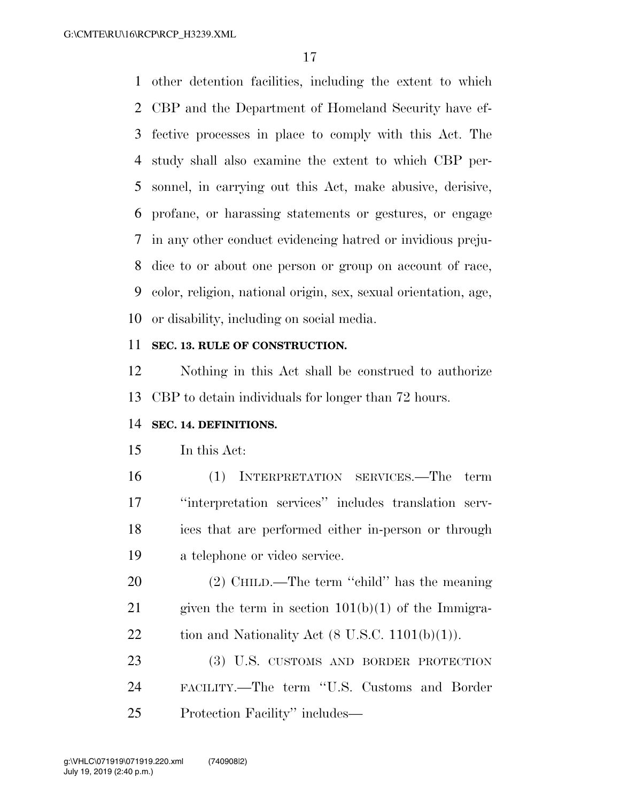other detention facilities, including the extent to which CBP and the Department of Homeland Security have ef- fective processes in place to comply with this Act. The study shall also examine the extent to which CBP per- sonnel, in carrying out this Act, make abusive, derisive, profane, or harassing statements or gestures, or engage in any other conduct evidencing hatred or invidious preju- dice to or about one person or group on account of race, color, religion, national origin, sex, sexual orientation, age, or disability, including on social media.

## **SEC. 13. RULE OF CONSTRUCTION.**

 Nothing in this Act shall be construed to authorize CBP to detain individuals for longer than 72 hours.

#### **SEC. 14. DEFINITIONS.**

In this Act:

 (1) INTERPRETATION SERVICES.—The term ''interpretation services'' includes translation serv- ices that are performed either in-person or through a telephone or video service.

20 (2) CHILD.—The term "child" has the meaning 21 given the term in section  $101(b)(1)$  of the Immigra-22 tion and Nationality Act  $(8 \text{ U.S.C. } 1101(b)(1)).$ 

 (3) U.S. CUSTOMS AND BORDER PROTECTION FACILITY.—The term ''U.S. Customs and Border Protection Facility'' includes—